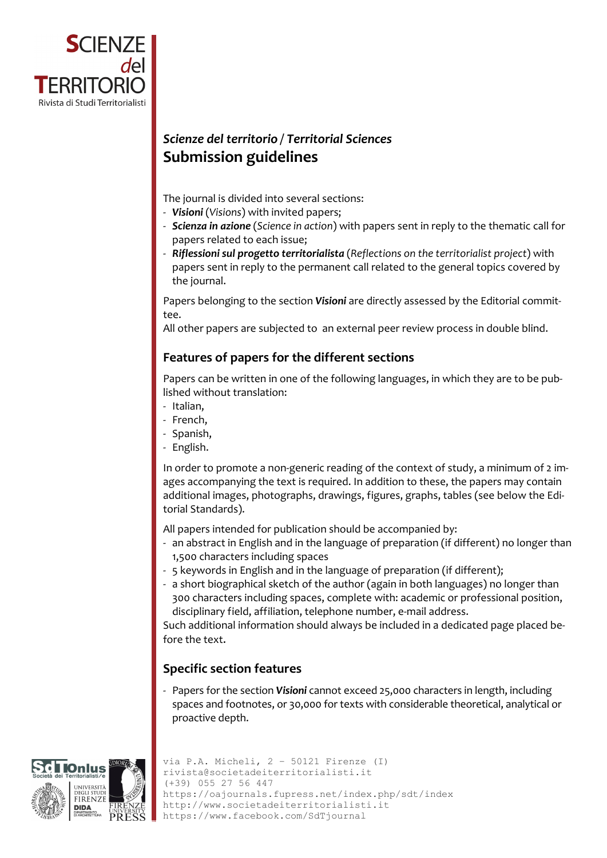

# *Scienze del territorio / Territorial Sciences* **Submission guidelines**

The journal is divided into several sections:

- ‐ *Visioni* (*Visions*) with invited papers;
- ‐ *Scienza in azione* (*Science in action*) with papers sent in reply to the thematic call for papers related to each issue;
- ‐ *Riflessioni sul progetto territorialista* (*Reflections on the territorialist project*) with papers sent in reply to the permanent call related to the general topics covered by the journal.

Papers belonging to the section *Visioni* are directly assessed by the Editorial commit‐ tee.

All other papers are subjected to an external peer review process in double blind.

# **Features of papers for the different sections**

Papers can be written in one of the following languages, in which they are to be pub‐ lished without translation:

- ‐ Italian,
- ‐ French,
- ‐ Spanish,
- ‐ English.

In order to promote a non-generic reading of the context of study, a minimum of 2 images accompanying the text is required. In addition to these, the papers may contain additional images, photographs, drawings, figures, graphs, tables (see below the Edi‐ torial Standards).

All papers intended for publication should be accompanied by:

- ‐ an abstract in English and in the language of preparation (if different) no longer than 1,500 characters including spaces
- ‐ 5 keywords in English and in the language of preparation (if different);
- ‐ a short biographical sketch of the author (again in both languages) no longer than 300 characters including spaces, complete with: academic or professional position, disciplinary field, affiliation, telephone number, e‐mail address.

Such additional information should always be included in a dedicated page placed be‐ fore the text.

# **Specific section features**

‐ Papers for the section *Visioni* cannot exceed 25,000 characters in length, including spaces and footnotes, or 30,000 for texts with considerable theoretical, analytical or proactive depth.



```
via P.A. Micheli, 2 – 50121 Firenze (I) 
 rivista@societadeiterritorialisti.it 
 (+39) 055 27 56 447 
 https://oajournals.fupress.net/index.php/sdt/index 
 http://www.societadeiterritorialisti.it 
https://www.facebook.com/SdTjournal
```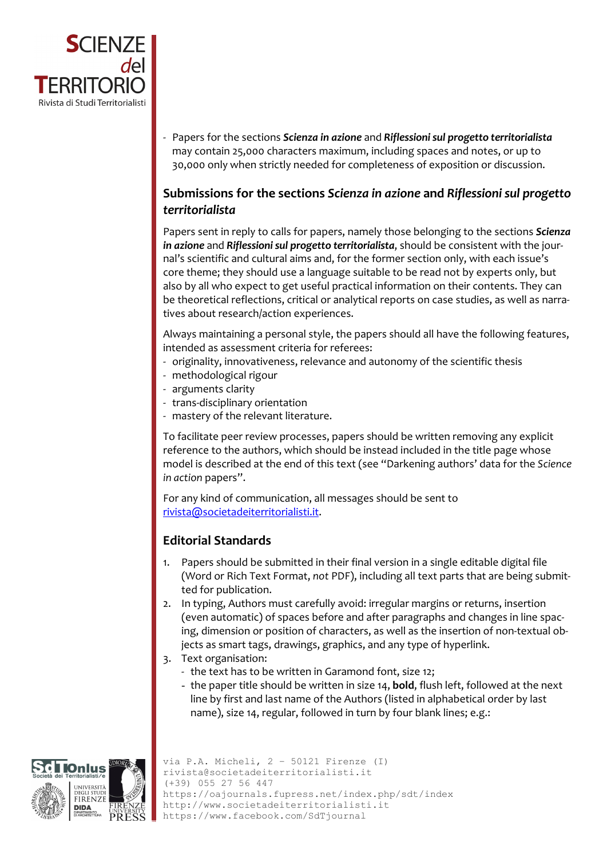

‐ Papers for the sections *Scienza in azione* and *Riflessionisul progetto territorialista* may contain 25,000 characters maximum, including spaces and notes, or up to 30,000 only when strictly needed for completeness of exposition or discussion.

# **Submissions for the sections** *Scienza in azione* **and** *Riflessioni sul progetto territorialista*

Papers sent in reply to calls for papers, namely those belonging to the sections *Scienza in azione* and *Riflessionisul progetto territorialista*, should be consistent with the jour‐ nal's scientific and cultural aims and, for the former section only, with each issue's core theme; they should use a language suitable to be read not by experts only, but also by all who expect to get useful practical information on their contents. They can be theoretical reflections, critical or analytical reports on case studies, as well as narratives about research/action experiences.

Always maintaining a personal style, the papers should all have the following features, intended as assessment criteria for referees:

- ‐ originality, innovativeness, relevance and autonomy of the scientific thesis
- ‐ methodological rigour
- ‐ arguments clarity
- ‐ trans‐disciplinary orientation
- ‐ mastery of the relevant literature.

To facilitate peer review processes, papers should be written removing any explicit reference to the authors, which should be instead included in the title page whose model is described at the end of this text (see "Darkening authors' data for the *Science in action* papers".

For any kind of communication, all messages should be sent to rivista@societadeiterritorialisti.it.

### **Editorial Standards**

- 1. Papers should be submitted in their final version in a single editable digital file (Word or Rich Text Format, *not* PDF), including all text parts that are being submit‐ ted for publication.
- 2. In typing, Authors must carefully avoid: irregular margins or returns, insertion (even automatic) of spaces before and after paragraphs and changes in line spac‐ ing, dimension or position of characters, as well as the insertion of non-textual objects as smart tags, drawings, graphics, and any type of hyperlink.
- 3. Text organisation:
	- ‐ the text has to be written in Garamond font, size 12;
	- the paper title should be written in size 14, **bold**, flush left, followed at the next line by first and last name of the Authors (listed in alphabetical order by last name), size 14, regular, followed in turn by four blank lines; e.g.:

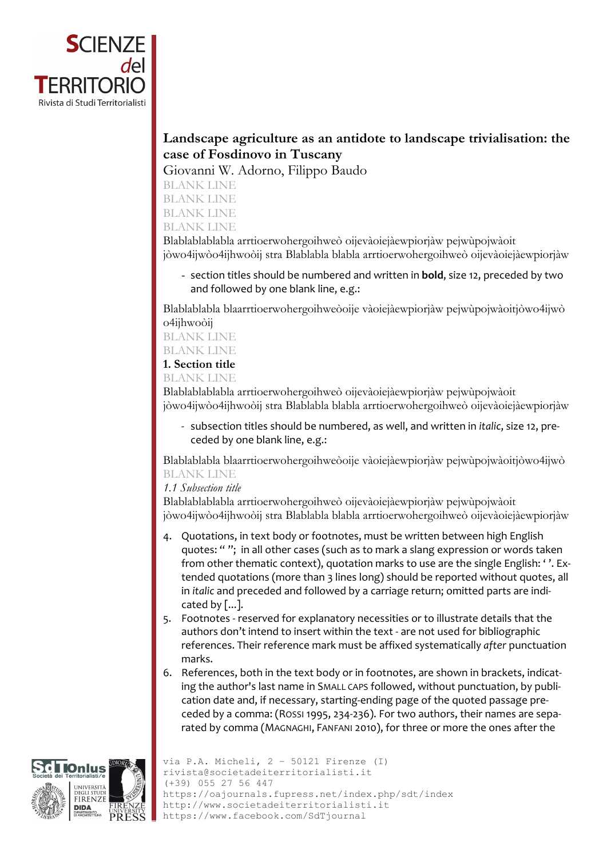

# **Landscape agriculture as an antidote to landscape trivialisation: the case of Fosdinovo in Tuscany**

Giovanni W. Adorno, Filippo Baudo

BLANK LINE BLANK LINE

BLANK LINE

BLANK LINE

Blablablablabla arrtioerwohergoihweò oijevàoiejàewpiorjàw pejwùpojwàoit jòwo4ijwòo4ijhwoòij stra Blablabla blabla arrtioerwohergoihweò oijevàoiejàewpiorjàw

- section titles should be numbered and written in **bold**, size 12, preceded by two and followed by one blank line, e.g.:

Blablablabla blaarrtioerwohergoihweòoije vàoiejàewpiorjàw pejwùpojwàoitjòwo4ijwò o4ijhwoòij

BLANK LINE BLANK LINE

### **1. Section title**

BLANK LINE

Blablablablabla arrtioerwohergoihweò oijevàoiejàewpiorjàw pejwùpojwàoit jòwo4ijwòo4ijhwoòij stra Blablabla blabla arrtioerwohergoihweò oijevàoiejàewpiorjàw

‐ subsection titles should be numbered, as well, and written in *italic*, size 12, pre‐ ceded by one blank line, e.g.:

Blablablabla blaarrtioerwohergoihweòoije vàoiejàewpiorjàw pejwùpojwàoitjòwo4ijwò BLANK LINE

### *1.1 Subsection title*

Blablablablabla arrtioerwohergoihweò oijevàoiejàewpiorjàw pejwùpojwàoit jòwo4ijwòo4ijhwoòij stra Blablabla blabla arrtioerwohergoihweò oijevàoiejàewpiorjàw

- 4. Quotations, in text body or footnotes, must be written between high English quotes: " "; in all other cases (such as to mark a slang expression or words taken from other thematic context), quotation marks to use are the single English: ' '. Ex‐ tended quotations (more than 3 lines long) should be reported without quotes, all in *italic* and preceded and followed by a carriage return; omitted parts are indi‐ cated by  $[\dots]$ .
- 5. Footnotes ‐ reserved for explanatory necessities or to illustrate details that the authors don't intend to insert within the text ‐ are not used for bibliographic references. Their reference mark must be affixed systematically *after* punctuation marks.
- 6. References, both in the text body or in footnotes, are shown in brackets, indicating the author's last name in SMALL CAPS followed, without punctuation, by publication date and, if necessary, starting‐ending page of the quoted passage pre‐ ceded by a comma: (ROSSI 1995, 234‐236). For two authors, their names are sepa‐ rated by comma (MAGNAGHI, FANFANI 2010), for three or more the ones after the

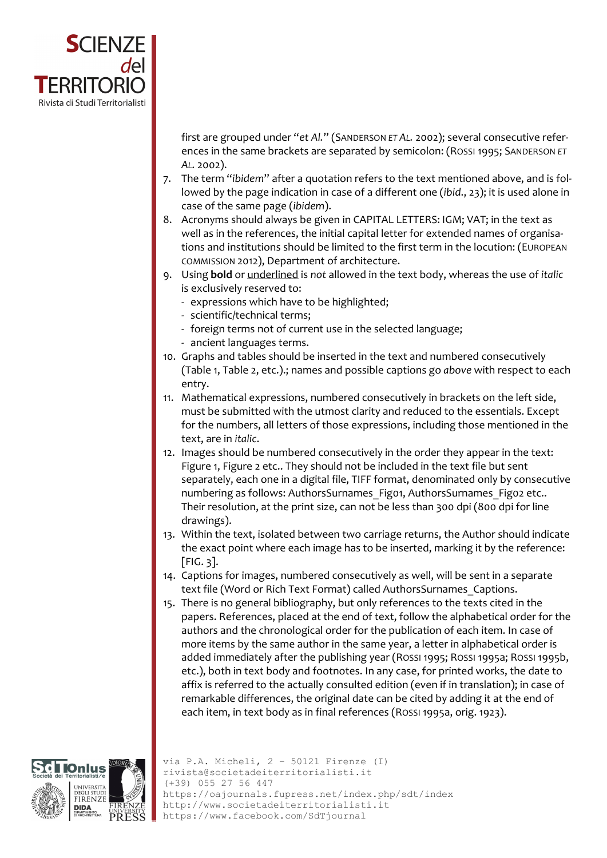

first are grouped under "*et Al.*" (SANDERSON *ET AL.* 2002); several consecutive refer‐ ences in the same brackets are separated by semicolon: (ROSSI 1995; SANDERSON *ET AL.* 2002).

- 7. The term "*ibidem*" after a quotation refers to the text mentioned above, and is fol‐ lowed by the page indication in case of a different one (*ibid*., 23); it is used alone in case of the same page (*ibidem*).
- 8. Acronyms should always be given in CAPITAL LETTERS: IGM; VAT; in the text as well as in the references, the initial capital letter for extended names of organisations and institutions should be limited to the first term in the locution: (EUROPEAN COMMISSION 2012), Department of architecture.
- 9. Using **bold** or underlined is *not* allowed in the text body, whereas the use of *italic* is exclusively reserved to:
	- ‐ expressions which have to be highlighted;
	- ‐ scientific/technical terms;
	- ‐ foreign terms not of current use in the selected language;
	- ‐ ancient languages terms.
- 10. Graphs and tables should be inserted in the text and numbered consecutively (Table 1, Table 2, etc.).; names and possible captions go *above* with respect to each entry.
- 11. Mathematical expressions, numbered consecutively in brackets on the left side, must be submitted with the utmost clarity and reduced to the essentials. Except for the numbers, all letters of those expressions, including those mentioned in the text, are in *italic*.
- 12. Images should be numbered consecutively in the order they appear in the text: Figure 1, Figure 2 etc.. They should not be included in the text file but sent separately, each one in a digital file, TIFF format, denominated only by consecutive numbering as follows: AuthorsSurnames Fig01, AuthorsSurnames Fig02 etc.. Their resolution, at the print size, can not be less than 300 dpi (800 dpi for line drawings).
- 13. Within the text, isolated between two carriage returns, the Author should indicate the exact point where each image has to be inserted, marking it by the reference: [FIG. 3].
- 14. Captions for images, numbered consecutively as well, will be sent in a separate text file (Word or Rich Text Format) called AuthorsSurnames\_Captions.
- 15. There is no general bibliography, but only references to the texts cited in the papers. References, placed at the end of text, follow the alphabetical order for the authors and the chronological order for the publication of each item. In case of more items by the same author in the same year, a letter in alphabetical order is added immediately after the publishing year (ROSSI 1995; ROSSI 1995a; ROSSI 1995b, etc.), both in text body and footnotes. In any case, for printed works, the date to affix is referred to the actually consulted edition (even if in translation); in case of remarkable differences, the original date can be cited by adding it at the end of each item, in text body as in final references (ROSSI 1995a, orig. 1923).



via P.A. Micheli, 2 – 50121 Firenze (I) rivista@societadeiterritorialisti.it (+39) 055 27 56 447 https://oajournals.fupress.net/index.php/sdt/index http://www.societadeiterritorialisti.it https://www.facebook.com/SdTjournal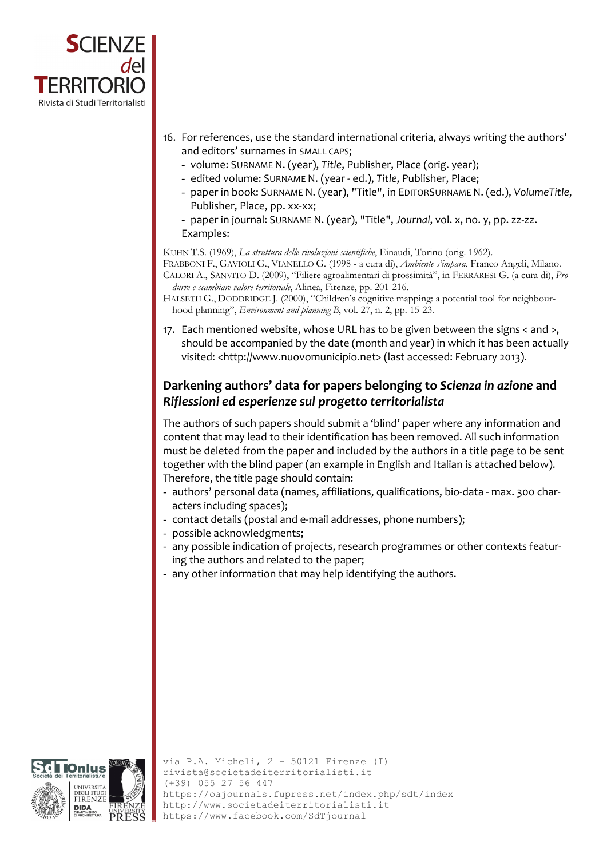

- 16. For references, use the standard international criteria, always writing the authors' and editors' surnames in SMALL CAPS;
	- volume: SURNAME N. (year), *Title*, Publisher, Place (orig. year);
	- edited volume: SURNAME N. (year ‐ ed.), *Title*, Publisher, Place;
	- paper in book: SURNAME N. (year), "Title", in EDITORSURNAME N. (ed.), *VolumeTitle*, Publisher, Place, pp. xx‐xx;
	- paper in journal: SURNAME N. (year), "Title", *Journal*, vol. x, no. y, pp. zz‐zz. Examples:

#### KUHN T.S. (1969), *La struttura delle rivoluzioni scientifiche*, Einaudi, Torino (orig. 1962).

FRABBONI F., GAVIOLI G., VIANELLO G. (1998 - a cura di), *Ambiente s'impara*, Franco Angeli, Milano. CALORI A., SANVITO D. (2009), "Filiere agroalimentari di prossimità", in FERRARESI G. (a cura di), *Produrre e scambiare valore territoriale*, Alinea, Firenze, pp. 201-216.

- HALSETH G., DODDRIDGE J. (2000), "Children's cognitive mapping: a potential tool for neighbourhood planning", *Environment and planning B*, vol. 27, n. 2, pp. 15-23.
- 17. Each mentioned website, whose URL has to be given between the signs < and >, should be accompanied by the date (month and year) in which it has been actually visited: <http://www.nuovomunicipio.net> (last accessed: February 2013).

# **Darkening authors' data for papers belonging to** *Scienza in azione* **and** *Riflessioni ed esperienze sul progetto territorialista*

The authors of such papers should submit a 'blind' paper where any information and content that may lead to their identification has been removed. All such information must be deleted from the paper and included by the authors in a title page to be sent together with the blind paper (an example in English and Italian is attached below). Therefore, the title page should contain:

- authors' personal data (names, affiliations, qualifications, bio‐data ‐ max. 300 char‐ acters including spaces);
- contact details (postal and e‐mail addresses, phone numbers);
- possible acknowledgments;
- any possible indication of projects, research programmes or other contexts featur‐ ing the authors and related to the paper;
- any other information that may help identifying the authors.

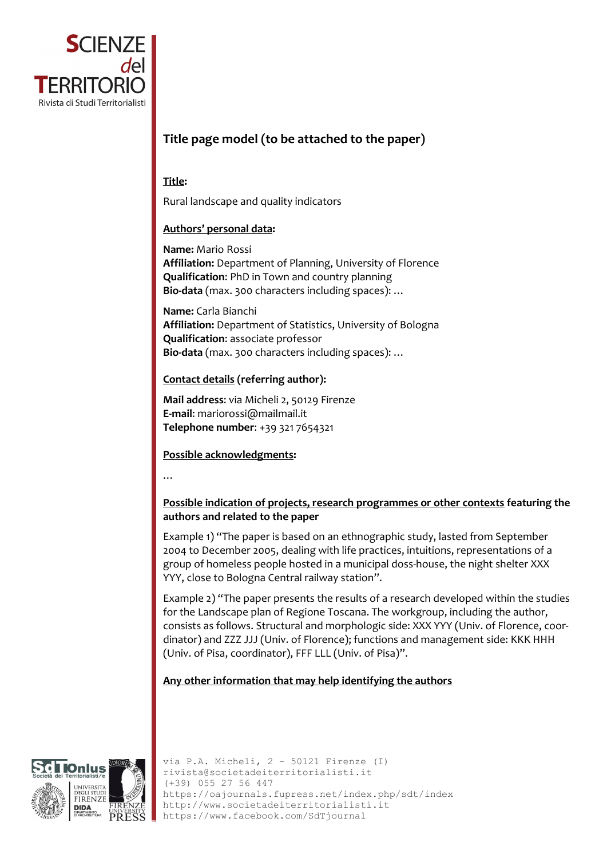

# **Title page model (to be attached to the paper)**

#### **Title:**

Rural landscape and quality indicators

#### **Authors' personal data:**

**Name:** Mario Rossi **Affiliation:** Department of Planning, University of Florence **Qualification**: PhD in Town and country planning **Bio‐data** (max. 300 characters including spaces): …

**Name:** Carla Bianchi **Affiliation:** Department of Statistics, University of Bologna **Qualification**: associate professor **Bio‐data** (max. 300 characters including spaces): …

#### **Contact details (referring author):**

**Mail address**: via Micheli 2, 50129 Firenze **E‐mail**: mariorossi@mailmail.it **Telephone number**: +39 321 7654321

**Possible acknowledgments:**

…

#### **Possible indication of projects, research programmes or other contexts featuring the authors and related to the paper**

Example 1) "The paper is based on an ethnographic study, lasted from September 2004 to December 2005, dealing with life practices, intuitions, representations of a group of homeless people hosted in a municipal doss‐house, the night shelter XXX YYY, close to Bologna Central railway station".

Example 2) "The paper presents the results of a research developed within the studies for the Landscape plan of Regione Toscana. The workgroup, including the author, consists as follows. Structural and morphologic side: XXX YYY (Univ. of Florence, coor‐ dinator) and ZZZ JJJ (Univ. of Florence); functions and management side: KKK HHH (Univ. of Pisa, coordinator), FFF LLL (Univ. of Pisa)".

### **Any other information that may help identifying the authors**